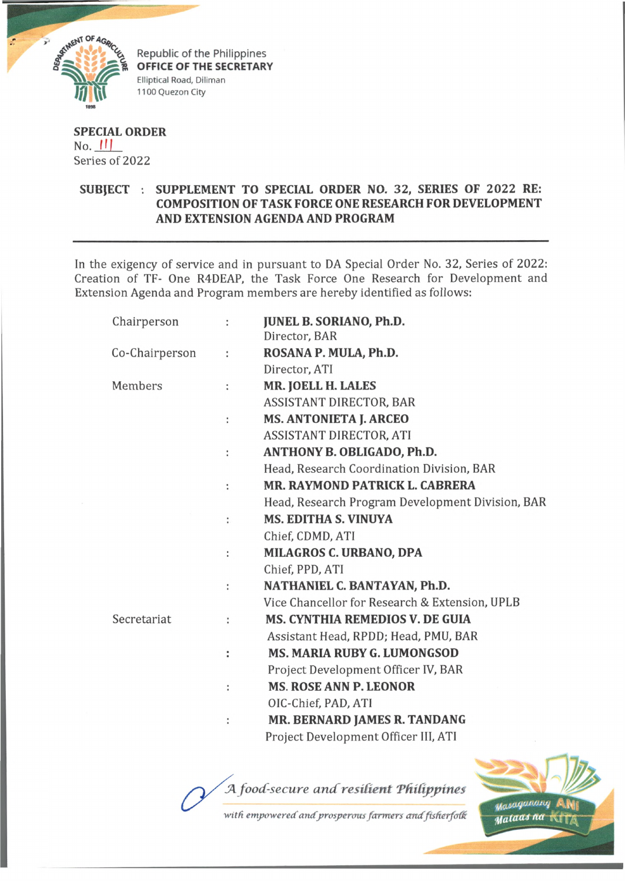

**OFFICE OF THE SECRETARY** Elliptical Road, Diliman 1100 Quezon City

## **SPECIAL ORDER**  $No.$   $|||$ Series of 2022

## **SUBJECT . SUPPLEMENT TO SPECIAL ORDER NO. 32, SERIES OF 2022 RE: COMPOSITION OF TASK FORCE ONE RESEARCH FOR DEVELOPMENT AND EXTENSION AGENDA AND PROGRAM**

In the exigency of service and in pursuant to DA Special Order No. 32, Series of 2022: Creation of TF- One R4DEAP, the Task Force One Research for Development and Extension Agenda and Program members are hereby identified as follows:

| Chairperson    | ÷ | <b>JUNEL B. SORIANO, Ph.D.</b><br>Director, BAR  |
|----------------|---|--------------------------------------------------|
|                |   |                                                  |
| Co-Chairperson | t | ROSANA P. MULA, Ph.D.                            |
|                |   | Director, ATI                                    |
| Members        | ÷ | MR. JOELL H. LALES                               |
|                |   | <b>ASSISTANT DIRECTOR, BAR</b>                   |
|                | ÷ | <b>MS. ANTONIETA J. ARCEO</b>                    |
|                |   | ASSISTANT DIRECTOR, ATI                          |
|                | ÷ | ANTHONY B. OBLIGADO, Ph.D.                       |
|                |   | Head, Research Coordination Division, BAR        |
|                | ÷ | MR. RAYMOND PATRICK L. CABRERA                   |
|                |   | Head, Research Program Development Division, BAR |
|                | ÷ | <b>MS. EDITHA S. VINUYA</b>                      |
|                |   | Chief, CDMD, ATI                                 |
|                | ÷ | <b>MILAGROS C. URBANO, DPA</b>                   |
|                |   | Chief, PPD, ATI                                  |
|                | t | NATHANIEL C. BANTAYAN, Ph.D.                     |
|                |   | Vice Chancellor for Research & Extension, UPLB   |
| Secretariat    | ÷ | <b>MS. CYNTHIA REMEDIOS V. DE GUIA</b>           |
|                |   | Assistant Head, RPDD; Head, PMU, BAR             |
|                | ÷ | <b>MS. MARIA RUBY G. LUMONGSOD</b>               |
|                |   | Project Development Officer IV, BAR              |
|                | ÷ | <b>MS. ROSE ANN P. LEONOR</b>                    |
|                |   | OIC-Chief, PAD, ATI                              |
|                | ÷ | MR. BERNARD JAMES R. TANDANG                     |
|                |   | Project Development Officer III, ATI             |
|                |   |                                                  |

A food-secure and resilient Philippines



with empowered and prosperous farmers and fisherfolk